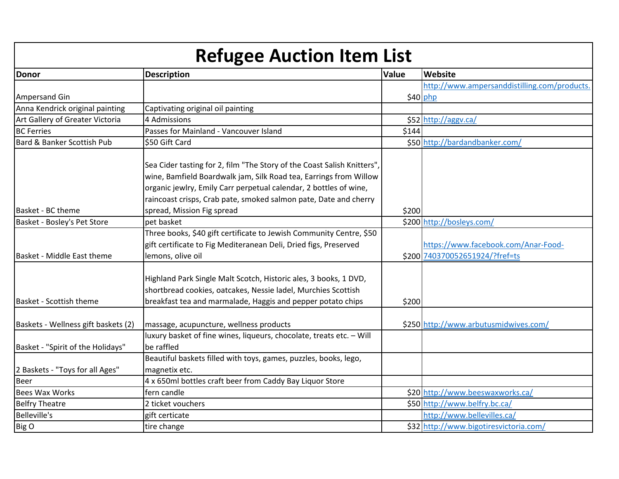| <b>Refugee Auction Item List</b>    |                                                                                                                                                                                                                                                                                                                     |       |                                                                       |
|-------------------------------------|---------------------------------------------------------------------------------------------------------------------------------------------------------------------------------------------------------------------------------------------------------------------------------------------------------------------|-------|-----------------------------------------------------------------------|
| <b>Donor</b>                        | <b>Description</b>                                                                                                                                                                                                                                                                                                  | Value | <b>Website</b>                                                        |
|                                     |                                                                                                                                                                                                                                                                                                                     |       | http://www.ampersanddistilling.com/products.                          |
| Ampersand Gin                       |                                                                                                                                                                                                                                                                                                                     |       | \$40 php                                                              |
| Anna Kendrick original painting     | Captivating original oil painting                                                                                                                                                                                                                                                                                   |       |                                                                       |
| Art Gallery of Greater Victoria     | 4 Admissions                                                                                                                                                                                                                                                                                                        |       | \$52 http://aggv.ca/                                                  |
| <b>BC Ferries</b>                   | Passes for Mainland - Vancouver Island                                                                                                                                                                                                                                                                              | \$144 |                                                                       |
| Bard & Banker Scottish Pub          | \$50 Gift Card                                                                                                                                                                                                                                                                                                      |       | \$50 http://bardandbanker.com/                                        |
| Basket - BC theme                   | Sea Cider tasting for 2, film "The Story of the Coast Salish Knitters",<br>wine, Bamfield Boardwalk jam, Silk Road tea, Earrings from Willow<br>organic jewlry, Emily Carr perpetual calendar, 2 bottles of wine,<br>raincoast crisps, Crab pate, smoked salmon pate, Date and cherry<br>spread, Mission Fig spread | \$200 |                                                                       |
| Basket - Bosley's Pet Store         | pet basket                                                                                                                                                                                                                                                                                                          |       | \$200 http://bosleys.com/                                             |
| IBasket - Middle East theme         | Three books, \$40 gift certificate to Jewish Community Centre, \$50<br>gift certificate to Fig Mediteranean Deli, Dried figs, Preserved<br>lemons, olive oil                                                                                                                                                        |       | https://www.facebook.com/Anar-Food-<br>\$200 740370052651924/?fref=ts |
| Basket - Scottish theme             | Highland Park Single Malt Scotch, Historic ales, 3 books, 1 DVD,<br>shortbread cookies, oatcakes, Nessie ladel, Murchies Scottish<br>breakfast tea and marmalade, Haggis and pepper potato chips                                                                                                                    | \$200 |                                                                       |
| Baskets - Wellness gift baskets (2) | massage, acupuncture, wellness products                                                                                                                                                                                                                                                                             |       | \$250 http://www.arbutusmidwives.com/                                 |
| Basket - "Spirit of the Holidays"   | luxury basket of fine wines, liqueurs, chocolate, treats etc. - Will<br>be raffled                                                                                                                                                                                                                                  |       |                                                                       |
| 2 Baskets - "Toys for all Ages"     | Beautiful baskets filled with toys, games, puzzles, books, lego,<br>magnetix etc.                                                                                                                                                                                                                                   |       |                                                                       |
| <b>Beer</b>                         | 4 x 650ml bottles craft beer from Caddy Bay Liquor Store                                                                                                                                                                                                                                                            |       |                                                                       |
| <b>Bees Wax Works</b>               | fern candle                                                                                                                                                                                                                                                                                                         |       | \$20 http://www.beeswaxworks.ca/                                      |
| <b>Belfry Theatre</b>               | 2 ticket vouchers                                                                                                                                                                                                                                                                                                   |       | \$50 http://www.belfry.bc.ca/                                         |
| <b>Belleville's</b>                 | gift certicate                                                                                                                                                                                                                                                                                                      |       | http://www.bellevilles.ca/                                            |
| Big O                               | tire change                                                                                                                                                                                                                                                                                                         |       | \$32 http://www.bigotiresvictoria.com/                                |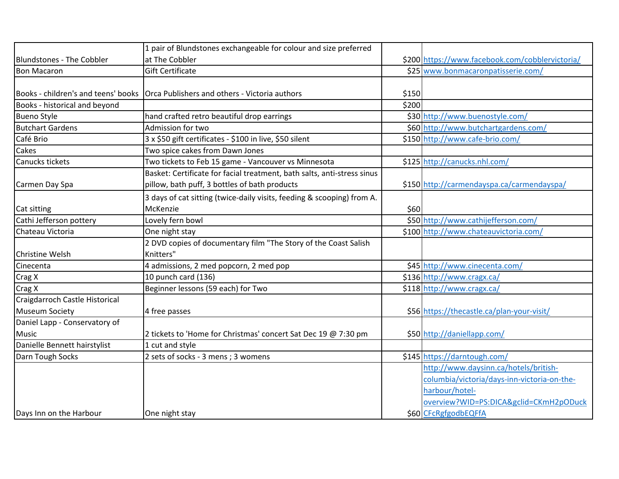|                                     | 1 pair of Blundstones exchangeable for colour and size preferred        |       |                                                 |
|-------------------------------------|-------------------------------------------------------------------------|-------|-------------------------------------------------|
| <b>Blundstones - The Cobbler</b>    | at The Cobbler                                                          |       | \$200 https://www.facebook.com/cobblervictoria/ |
| <b>Bon Macaron</b>                  | <b>Gift Certificate</b>                                                 |       | \$25 www.bonmacaronpatisserie.com/              |
|                                     |                                                                         |       |                                                 |
| Books - children's and teens' books | Orca Publishers and others - Victoria authors                           | \$150 |                                                 |
| Books - historical and beyond       |                                                                         | \$200 |                                                 |
| <b>Bueno Style</b>                  | hand crafted retro beautiful drop earrings                              |       | \$30 http://www.buenostyle.com/                 |
| <b>Butchart Gardens</b>             | Admission for two                                                       |       | \$60 http://www.butchartgardens.com/            |
| Café Brio                           | 3 x \$50 gift certificates - \$100 in live, \$50 silent                 |       | \$150 http://www.cafe-brio.com/                 |
| Cakes                               | Two spice cakes from Dawn Jones                                         |       |                                                 |
| Canucks tickets                     | Two tickets to Feb 15 game - Vancouver vs Minnesota                     |       | \$125 http://canucks.nhl.com/                   |
|                                     | Basket: Certificate for facial treatment, bath salts, anti-stress sinus |       |                                                 |
| Carmen Day Spa                      | pillow, bath puff, 3 bottles of bath products                           |       | \$150 http://carmendayspa.ca/carmendayspa/      |
|                                     | 3 days of cat sitting (twice-daily visits, feeding & scooping) from A.  |       |                                                 |
| Cat sitting                         | McKenzie                                                                | \$60] |                                                 |
| Cathi Jefferson pottery             | Lovely fern bowl                                                        |       | \$50 http://www.cathijefferson.com/             |
| Chateau Victoria                    | One night stay                                                          |       | \$100 http://www.chateauvictoria.com/           |
|                                     | 2 DVD copies of documentary film "The Story of the Coast Salish         |       |                                                 |
| Christine Welsh                     | Knitters"                                                               |       |                                                 |
| Cinecenta                           | 4 admissions, 2 med popcorn, 2 med pop                                  |       | \$45 http://www.cinecenta.com/                  |
| Crag X                              | 10 punch card (136)                                                     |       | \$136 http://www.cragx.ca/                      |
| Crag X                              | Beginner lessons (59 each) for Two                                      |       | \$118 http://www.cragx.ca/                      |
| Craigdarroch Castle Historical      |                                                                         |       |                                                 |
| <b>Museum Society</b>               | 4 free passes                                                           |       | \$56 https://thecastle.ca/plan-your-visit/      |
| Daniel Lapp - Conservatory of       |                                                                         |       |                                                 |
| <b>Music</b>                        | 2 tickets to 'Home for Christmas' concert Sat Dec 19 @ 7:30 pm          |       | \$50 http://daniellapp.com/                     |
| Danielle Bennett hairstylist        | 1 cut and style                                                         |       |                                                 |
| Darn Tough Socks                    | 2 sets of socks - 3 mens ; 3 womens                                     |       | \$145 https://darntough.com/                    |
|                                     |                                                                         |       | http://www.daysinn.ca/hotels/british-           |
|                                     |                                                                         |       | columbia/victoria/days-inn-victoria-on-the-     |
|                                     |                                                                         |       | harbour/hotel-                                  |
|                                     |                                                                         |       | overview?WID=PS:DICA&gclid=CKmH2pODuck          |
| Days Inn on the Harbour             | One night stay                                                          |       | \$60 CFcRgfgodbEQFfA                            |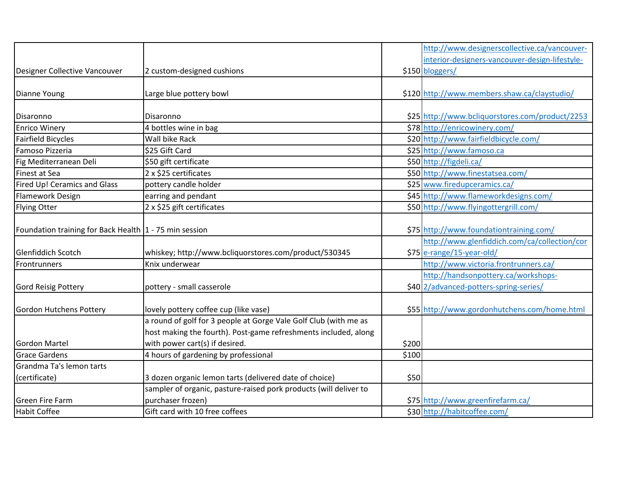|                                                          |                                                                   |       | http://www.designerscollective.ca/vancouver-    |
|----------------------------------------------------------|-------------------------------------------------------------------|-------|-------------------------------------------------|
|                                                          |                                                                   |       | interior-designers-vancouver-design-lifestyle-  |
| Designer Collective Vancouver                            | 2 custom-designed cushions                                        |       | \$150 bloggers/                                 |
|                                                          |                                                                   |       |                                                 |
| Dianne Young                                             | Large blue pottery bowl                                           |       | \$120 http://www.members.shaw.ca/claystudio/    |
|                                                          |                                                                   |       |                                                 |
| Disaronno                                                | Disaronno                                                         |       | \$25 http://www.bcliquorstores.com/product/2253 |
| <b>Enrico Winery</b>                                     | 4 bottles wine in bag                                             |       | \$78 http://enricowinery.com/                   |
| Fairfield Bicycles                                       | Wall bike Rack                                                    |       | \$20 http://www.fairfieldbicycle.com/           |
| Famoso Pizzeria                                          | \$25 Gift Card                                                    |       | \$25 http://www.famoso.ca                       |
| Fig Mediterranean Deli                                   | \$50 gift certificate                                             |       | \$50 http://figdeli.ca/                         |
| Finest at Sea                                            | 2 x \$25 certificates                                             |       | \$50 http://www.finestatsea.com/                |
| Fired Up! Ceramics and Glass                             | pottery candle holder                                             |       | \$25 www.firedupceramics.ca/                    |
| <b>Flamework Design</b>                                  | earring and pendant                                               |       | \$45 http://www.flameworkdesigns.com/           |
| Flying Otter                                             | 2 x \$25 gift certificates                                        |       | \$50 http://www.flyingottergrill.com/           |
|                                                          |                                                                   |       |                                                 |
| Foundation training for Back Health   1 - 75 min session |                                                                   |       | \$75 http://www.foundationtraining.com/         |
|                                                          |                                                                   |       | http://www.glenfiddich.com/ca/collection/cor    |
| Glenfiddich Scotch                                       | whiskey; http://www.bcliquorstores.com/product/530345             |       | \$75 e-range/15-year-old/                       |
| Frontrunners                                             | Knix underwear                                                    |       | http://www.victoria.frontrunners.ca/            |
|                                                          |                                                                   |       | http://handsonpottery.ca/workshops-             |
| Gord Reisig Pottery                                      | pottery - small casserole                                         |       | \$40 2/advanced-potters-spring-series/          |
|                                                          |                                                                   |       |                                                 |
| Gordon Hutchens Pottery                                  | lovely pottery coffee cup (like vase)                             |       | \$55 http://www.gordonhutchens.com/home.html    |
|                                                          | a round of golf for 3 people at Gorge Vale Golf Club (with me as  |       |                                                 |
|                                                          | host making the fourth). Post-game refreshments included, along   |       |                                                 |
| <b>Gordon Martel</b>                                     | with power cart(s) if desired.                                    | \$200 |                                                 |
| <b>Grace Gardens</b>                                     | 4 hours of gardening by professional                              | \$100 |                                                 |
| Grandma Ta's lemon tarts                                 |                                                                   |       |                                                 |
| (certificate)                                            | 3 dozen organic lemon tarts (delivered date of choice)            | \$50  |                                                 |
|                                                          | sampler of organic, pasture-raised pork products (will deliver to |       |                                                 |
| Green Fire Farm                                          | purchaser frozen)                                                 |       | \$75 http://www.greenfirefarm.ca/               |
| Habit Coffee                                             | Gift card with 10 free coffees                                    |       | \$30 http://habitcoffee.com/                    |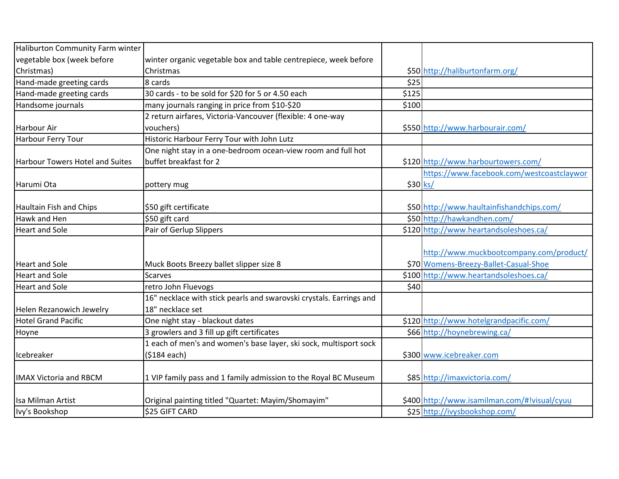| Haliburton Community Farm winter       |                                                                     |          |                                              |
|----------------------------------------|---------------------------------------------------------------------|----------|----------------------------------------------|
| vegetable box (week before             | winter organic vegetable box and table centrepiece, week before     |          |                                              |
| Christmas)                             | Christmas                                                           |          | \$50 http://haliburtonfarm.org/              |
| Hand-made greeting cards               | 8 cards                                                             | \$25     |                                              |
| Hand-made greeting cards               | 30 cards - to be sold for \$20 for 5 or 4.50 each                   | \$125    |                                              |
| Handsome journals                      | many journals ranging in price from \$10-\$20                       | \$100    |                                              |
|                                        | 2 return airfares, Victoria-Vancouver (flexible: 4 one-way          |          |                                              |
| Harbour Air                            | vouchers)                                                           |          | \$550 http://www.harbourair.com/             |
| Harbour Ferry Tour                     | Historic Harbour Ferry Tour with John Lutz                          |          |                                              |
|                                        | One night stay in a one-bedroom ocean-view room and full hot        |          |                                              |
| <b>Harbour Towers Hotel and Suites</b> | buffet breakfast for 2                                              |          | \$120 http://www.harbourtowers.com/          |
|                                        |                                                                     |          | https://www.facebook.com/westcoastclaywor    |
| Harumi Ota                             | pottery mug                                                         | \$30 ks/ |                                              |
|                                        |                                                                     |          |                                              |
| Haultain Fish and Chips                | \$50 gift certificate                                               |          | \$50 http://www.haultainfishandchips.com/    |
| Hawk and Hen                           | \$50 gift card                                                      |          | \$50 http://hawkandhen.com/                  |
| <b>Heart and Sole</b>                  | Pair of Gerlup Slippers                                             |          | \$120 http://www.heartandsoleshoes.ca/       |
|                                        |                                                                     |          |                                              |
|                                        |                                                                     |          | http://www.muckbootcompany.com/product/      |
| Heart and Sole                         | Muck Boots Breezy ballet slipper size 8                             |          | \$70 Womens-Breezy-Ballet-Casual-Shoe        |
| <b>Heart and Sole</b>                  | <b>Scarves</b>                                                      |          | \$100 http://www.heartandsoleshoes.ca/       |
| <b>Heart and Sole</b>                  | retro John Fluevogs                                                 | \$40     |                                              |
|                                        | 16" necklace with stick pearls and swarovski crystals. Earrings and |          |                                              |
| Helen Rezanowich Jewelry               | 18" necklace set                                                    |          |                                              |
| Hotel Grand Pacific                    | One night stay - blackout dates                                     |          | \$120 http://www.hotelgrandpacific.com/      |
| Hoyne                                  | 3 growlers and 3 fill up gift certificates                          |          | \$66 http://hoynebrewing.ca/                 |
|                                        | 1 each of men's and women's base layer, ski sock, multisport sock   |          |                                              |
| Icebreaker                             | (\$184 each)                                                        |          | \$300 www.icebreaker.com                     |
|                                        |                                                                     |          |                                              |
| <b>IMAX Victoria and RBCM</b>          | 1 VIP family pass and 1 family admission to the Royal BC Museum     |          | \$85 http://imaxvictoria.com/                |
|                                        |                                                                     |          |                                              |
| Isa Milman Artist                      | Original painting titled "Quartet: Mayim/Shomayim"                  |          | \$400 http://www.isamilman.com/#!visual/cyuu |
| Ivy's Bookshop                         | \$25 GIFT CARD                                                      |          | \$25 http://ivysbookshop.com/                |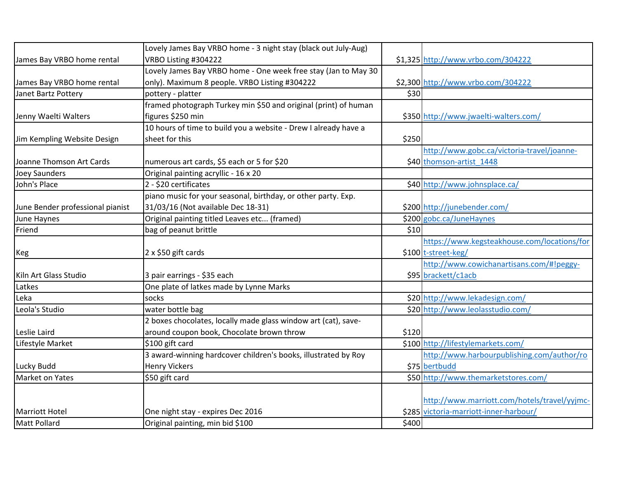|                                  | Lovely James Bay VRBO home - 3 night stay (black out July-Aug)  |       |                                              |
|----------------------------------|-----------------------------------------------------------------|-------|----------------------------------------------|
| James Bay VRBO home rental       | VRBO Listing #304222                                            |       | \$1,325 http://www.vrbo.com/304222           |
|                                  | Lovely James Bay VRBO home - One week free stay (Jan to May 30  |       |                                              |
| James Bay VRBO home rental       | only). Maximum 8 people. VRBO Listing #304222                   |       | \$2,300 http://www.vrbo.com/304222           |
| Janet Bartz Pottery              | pottery - platter                                               | \$30  |                                              |
|                                  | framed photograph Turkey min \$50 and original (print) of human |       |                                              |
| Jenny Waelti Walters             | figures \$250 min                                               |       | \$350 http://www.jwaelti-walters.com/        |
|                                  | 10 hours of time to build you a website - Drew I already have a |       |                                              |
| Jim Kempling Website Design      | sheet for this                                                  | \$250 |                                              |
|                                  |                                                                 |       | http://www.gobc.ca/victoria-travel/joanne-   |
| Joanne Thomson Art Cards         | numerous art cards, \$5 each or 5 for \$20                      |       | \$40 thomson-artist_1448                     |
| <b>Joey Saunders</b>             | Original painting acryllic - 16 x 20                            |       |                                              |
| John's Place                     | 2 - \$20 certificates                                           |       | \$40 http://www.johnsplace.ca/               |
|                                  | piano music for your seasonal, birthday, or other party. Exp.   |       |                                              |
| June Bender professional pianist | 31/03/16 (Not available Dec 18-31)                              |       | \$200 http://junebender.com/                 |
| June Haynes                      | Original painting titled Leaves etc (framed)                    |       | \$200 gobc.ca/JuneHaynes                     |
| Friend                           | bag of peanut brittle                                           | \$10  |                                              |
|                                  |                                                                 |       | https://www.kegsteakhouse.com/locations/for  |
| Keg                              | 2 x \$50 gift cards                                             |       | \$100 t-street-keg/                          |
|                                  |                                                                 |       | http://www.cowichanartisans.com/#!peggy-     |
| Kiln Art Glass Studio            | 3 pair earrings - \$35 each                                     |       | \$95 brackett/c1acb                          |
| Latkes                           | One plate of latkes made by Lynne Marks                         |       |                                              |
| Leka                             | socks                                                           |       | \$20 http://www.lekadesign.com/              |
| Leola's Studio                   | water bottle bag                                                |       | \$20 http://www.leolasstudio.com/            |
|                                  | 2 boxes chocolates, locally made glass window art (cat), save-  |       |                                              |
| Leslie Laird                     | around coupon book, Chocolate brown throw                       | \$120 |                                              |
| Lifestyle Market                 | \$100 gift card                                                 |       | \$100 http://lifestylemarkets.com/           |
|                                  | 3 award-winning hardcover children's books, illustrated by Roy  |       | http://www.harbourpublishing.com/author/ro   |
| Lucky Budd                       | <b>Henry Vickers</b>                                            |       | \$75 bertbudd                                |
| Market on Yates                  | \$50 gift card                                                  |       | \$50 http://www.themarketstores.com/         |
|                                  |                                                                 |       |                                              |
|                                  |                                                                 |       | http://www.marriott.com/hotels/travel/yyjmc- |
| Marriott Hotel                   | One night stay - expires Dec 2016                               |       | \$285 victoria-marriott-inner-harbour/       |
| Matt Pollard                     | Original painting, min bid \$100                                | \$400 |                                              |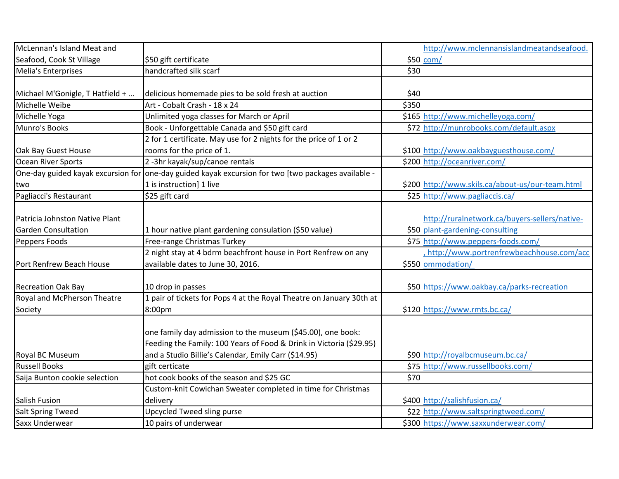| McLennan's Island Meat and         |                                                                      |       | http://www.mclennansislandmeatandseafood.        |
|------------------------------------|----------------------------------------------------------------------|-------|--------------------------------------------------|
| Seafood, Cook St Village           | \$50 gift certificate                                                |       | \$50 com/                                        |
| Melia's Enterprises                | handcrafted silk scarf                                               | \$30  |                                                  |
|                                    |                                                                      |       |                                                  |
| Michael M'Gonigle, T Hatfield +    | delicious homemade pies to be sold fresh at auction                  | \$40  |                                                  |
| Michelle Weibe                     | Art - Cobalt Crash - 18 x 24                                         | \$350 |                                                  |
| Michelle Yoga                      | Unlimited yoga classes for March or April                            |       | \$165 http://www.michelleyoga.com/               |
| Munro's Books                      | Book - Unforgettable Canada and \$50 gift card                       |       | \$72 http://munrobooks.com/default.aspx          |
|                                    | 2 for 1 certificate. May use for 2 nights for the price of 1 or 2    |       |                                                  |
| Oak Bay Guest House                | rooms for the price of 1.                                            |       | \$100 http://www.oakbayguesthouse.com/           |
| Ocean River Sports                 | 2-3hr kayak/sup/canoe rentals                                        |       | \$200 http://oceanriver.com/                     |
| One-day guided kayak excursion for | one-day guided kayak excursion for two [two packages available -     |       |                                                  |
| two                                | 1 is instruction] 1 live                                             |       | \$200 http://www.skils.ca/about-us/our-team.html |
| Pagliacci's Restaurant             | \$25 gift card                                                       |       | \$25 http://www.pagliaccis.ca/                   |
|                                    |                                                                      |       |                                                  |
| Patricia Johnston Native Plant     |                                                                      |       | http://ruralnetwork.ca/buyers-sellers/native-    |
| <b>Garden Consultation</b>         | 1 hour native plant gardening consulation (\$50 value)               |       | \$50 plant-gardening-consulting                  |
| Peppers Foods                      | Free-range Christmas Turkey                                          |       | \$75 http://www.peppers-foods.com/               |
|                                    | 2 night stay at 4 bdrm beachfront house in Port Renfrew on any       |       | http://www.portrenfrewbeachhouse.com/acc         |
| Port Renfrew Beach House           | available dates to June 30, 2016.                                    |       | \$550 ommodation/                                |
|                                    |                                                                      |       |                                                  |
| <b>Recreation Oak Bay</b>          | 10 drop in passes                                                    |       | \$50 https://www.oakbay.ca/parks-recreation      |
| <b>Royal and McPherson Theatre</b> | 1 pair of tickets for Pops 4 at the Royal Theatre on January 30th at |       |                                                  |
| Society                            | 8:00pm                                                               |       | \$120 https://www.rmts.bc.ca/                    |
|                                    |                                                                      |       |                                                  |
|                                    | one family day admission to the museum (\$45.00), one book:          |       |                                                  |
|                                    | Feeding the Family: 100 Years of Food & Drink in Victoria (\$29.95)  |       |                                                  |
| <b>Royal BC Museum</b>             | and a Studio Billie's Calendar, Emily Carr (\$14.95)                 |       | \$90 http://royalbcmuseum.bc.ca/                 |
| <b>Russell Books</b>               | gift certicate                                                       |       | \$75 http://www.russellbooks.com/                |
| Saija Bunton cookie selection      | hot cook books of the season and \$25 GC                             | \$70  |                                                  |
|                                    | Custom-knit Cowichan Sweater completed in time for Christmas         |       |                                                  |
| Salish Fusion                      | delivery                                                             |       | \$400 http://salishfusion.ca/                    |
| Salt Spring Tweed                  | Upcycled Tweed sling purse                                           |       | \$22 http://www.saltspringtweed.com/             |
| Saxx Underwear                     | 10 pairs of underwear                                                |       | \$300 https://www.saxxunderwear.com/             |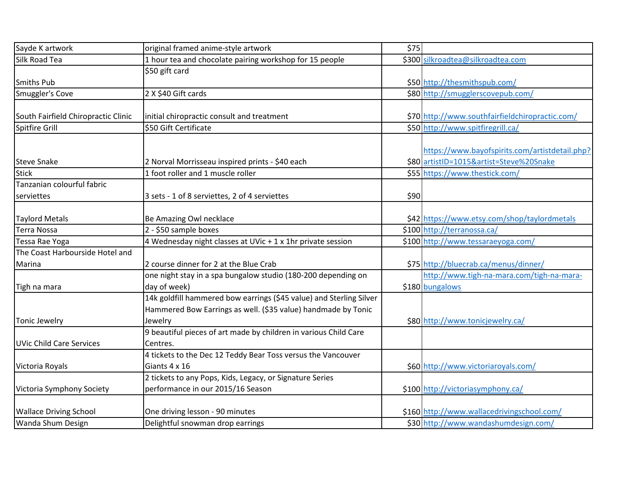| Sayde K artwork                     | original framed anime-style artwork                                 | \$75 |                                                 |
|-------------------------------------|---------------------------------------------------------------------|------|-------------------------------------------------|
| Silk Road Tea                       | 1 hour tea and chocolate pairing workshop for 15 people             |      | \$300 silkroadtea@silkroadtea.com               |
|                                     | \$50 gift card                                                      |      |                                                 |
| <b>Smiths Pub</b>                   |                                                                     |      | \$50 http://thesmithspub.com/                   |
| Smuggler's Cove                     | 2 X \$40 Gift cards                                                 |      | \$80 http://smugglerscovepub.com/               |
|                                     |                                                                     |      |                                                 |
| South Fairfield Chiropractic Clinic | initial chiropractic consult and treatment                          |      | \$70 http://www.southfairfieldchiropractic.com/ |
| Spitfire Grill                      | \$50 Gift Certificate                                               |      | \$50 http://www.spitfiregrill.ca/               |
|                                     |                                                                     |      |                                                 |
|                                     |                                                                     |      | https://www.bayofspirits.com/artistdetail.php?  |
| Steve Snake                         | 2 Norval Morrisseau inspired prints - \$40 each                     |      | \$80 artistID=1015&artist=Steve%20Snake         |
| <b>Stick</b>                        | 1 foot roller and 1 muscle roller                                   |      | \$55 https://www.thestick.com/                  |
| Tanzanian colourful fabric          |                                                                     |      |                                                 |
| serviettes                          | 3 sets - 1 of 8 serviettes, 2 of 4 serviettes                       | \$90 |                                                 |
|                                     |                                                                     |      |                                                 |
| <b>Taylord Metals</b>               | Be Amazing Owl necklace                                             |      | \$42 https://www.etsy.com/shop/taylordmetals    |
| <b>Terra Nossa</b>                  | 2 - \$50 sample boxes                                               |      | \$100 http://terranossa.ca/                     |
| Tessa Rae Yoga                      | 4 Wednesday night classes at UVic + 1 x 1hr private session         |      | \$100 http://www.tessaraeyoga.com/              |
| The Coast Harbourside Hotel and     |                                                                     |      |                                                 |
| Marina                              | 2 course dinner for 2 at the Blue Crab                              |      | \$75 http://bluecrab.ca/menus/dinner/           |
|                                     | one night stay in a spa bungalow studio (180-200 depending on       |      | http://www.tigh-na-mara.com/tigh-na-mara-       |
| Tigh na mara                        | day of week)                                                        |      | \$180 bungalows                                 |
|                                     | 14k goldfill hammered bow earrings (\$45 value) and Sterling Silver |      |                                                 |
|                                     | Hammered Bow Earrings as well. (\$35 value) handmade by Tonic       |      |                                                 |
| Tonic Jewelry                       | Jewelry                                                             |      | \$80 http://www.tonicjewelry.ca/                |
|                                     | 9 beautiful pieces of art made by children in various Child Care    |      |                                                 |
| UVic Child Care Services            | Centres.                                                            |      |                                                 |
|                                     | 4 tickets to the Dec 12 Teddy Bear Toss versus the Vancouver        |      |                                                 |
| Victoria Royals                     | Giants 4 x 16                                                       |      | \$60 http://www.victoriaroyals.com/             |
|                                     | 2 tickets to any Pops, Kids, Legacy, or Signature Series            |      |                                                 |
| Victoria Symphony Society           | performance in our 2015/16 Season                                   |      | \$100 http://victoriasymphony.ca/               |
|                                     |                                                                     |      |                                                 |
| <b>Wallace Driving School</b>       | One driving lesson - 90 minutes                                     |      | \$160 http://www.wallacedrivingschool.com/      |
| <b>Wanda Shum Design</b>            | Delightful snowman drop earrings                                    |      | \$30 http://www.wandashumdesign.com/            |